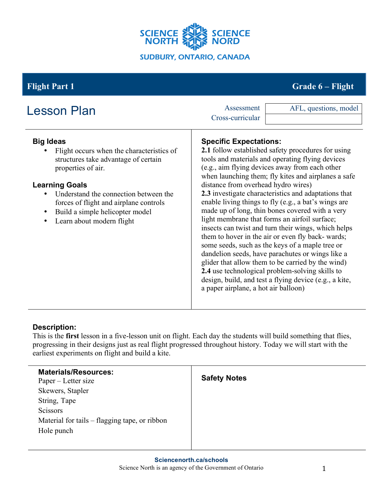

# **Flight Part 1 Grade 6 – Flight**

| <b>Lesson Plan</b>                                                                                                                                                                                                                                                                                                                             | Assessment<br>Cross-curricular | AFL, questions, model                                                                                                                                                                                                                                                                                                                                                                                                                                                                                                                                                                                                                                                                                                                                                                                                                                                                                                                   |  |
|------------------------------------------------------------------------------------------------------------------------------------------------------------------------------------------------------------------------------------------------------------------------------------------------------------------------------------------------|--------------------------------|-----------------------------------------------------------------------------------------------------------------------------------------------------------------------------------------------------------------------------------------------------------------------------------------------------------------------------------------------------------------------------------------------------------------------------------------------------------------------------------------------------------------------------------------------------------------------------------------------------------------------------------------------------------------------------------------------------------------------------------------------------------------------------------------------------------------------------------------------------------------------------------------------------------------------------------------|--|
| <b>Big Ideas</b><br>Flight occurs when the characteristics of<br>structures take advantage of certain<br>properties of air.<br><b>Learning Goals</b><br>Understand the connection between the<br>$\bullet$<br>forces of flight and airplane controls<br>Build a simple helicopter model<br>$\bullet$<br>Learn about modern flight<br>$\bullet$ |                                | <b>Specific Expectations:</b><br>2.1 follow established safety procedures for using<br>tools and materials and operating flying devices<br>(e.g., aim flying devices away from each other<br>when launching them; fly kites and airplanes a safe<br>distance from overhead hydro wires)<br>2.3 investigate characteristics and adaptations that<br>enable living things to fly (e.g., a bat's wings are<br>made up of long, thin bones covered with a very<br>light membrane that forms an airfoil surface;<br>insects can twist and turn their wings, which helps<br>them to hover in the air or even fly back-wards;<br>some seeds, such as the keys of a maple tree or<br>dandelion seeds, have parachutes or wings like a<br>glider that allow them to be carried by the wind)<br>2.4 use technological problem-solving skills to<br>design, build, and test a flying device (e.g., a kite,<br>a paper airplane, a hot air balloon) |  |

# **Description:**

This is the **first** lesson in a five-lesson unit on flight. Each day the students will build something that flies, progressing in their designs just as real flight progressed throughout history. Today we will start with the earliest experiments on flight and build a kite.

| <b>Materials/Resources:</b><br>Paper – Letter size | <b>Safety Notes</b> |
|----------------------------------------------------|---------------------|
| Skewers, Stapler                                   |                     |
| String, Tape                                       |                     |
| Scissors                                           |                     |
| Material for tails – flagging tape, or ribbon      |                     |
| Hole punch                                         |                     |
|                                                    |                     |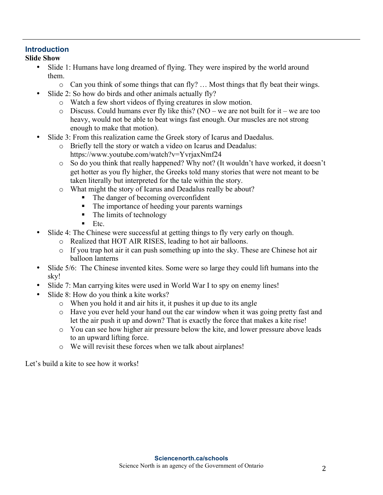### **Introduction**

#### **Slide Show**

- Slide 1: Humans have long dreamed of flying. They were inspired by the world around them.
	- o Can you think of some things that can fly? … Most things that fly beat their wings.
- Slide 2: So how do birds and other animals actually fly?
	- o Watch a few short videos of flying creatures in slow motion.
	- $\circ$  Discuss. Could humans ever fly like this? (NO we are not built for it we are too heavy, would not be able to beat wings fast enough. Our muscles are not strong enough to make that motion).
- Slide 3: From this realization came the Greek story of Icarus and Daedalus.
	- o Briefly tell the story or watch a video on Icarus and Deadalus: https://www.youtube.com/watch?v=YvrjaxNmf24
	- o So do you think that really happened? Why not? (It wouldn't have worked, it doesn't get hotter as you fly higher, the Greeks told many stories that were not meant to be taken literally but interpreted for the tale within the story.
	- o What might the story of Icarus and Deadalus really be about?
		- The danger of becoming overconfident
		- The importance of heeding your parents warnings
		- The limits of technology
		- $\blacksquare$  Etc.
- Slide 4: The Chinese were successful at getting things to fly very early on though.
	- o Realized that HOT AIR RISES, leading to hot air balloons.
	- o If you trap hot air it can push something up into the sky. These are Chinese hot air balloon lanterns
- Slide 5/6: The Chinese invented kites. Some were so large they could lift humans into the sky!
- Slide 7: Man carrying kites were used in World War I to spy on enemy lines!
- Slide 8: How do you think a kite works?
	- o When you hold it and air hits it, it pushes it up due to its angle
	- o Have you ever held your hand out the car window when it was going pretty fast and let the air push it up and down? That is exactly the force that makes a kite rise!
	- o You can see how higher air pressure below the kite, and lower pressure above leads to an upward lifting force.
	- o We will revisit these forces when we talk about airplanes!

Let's build a kite to see how it works!